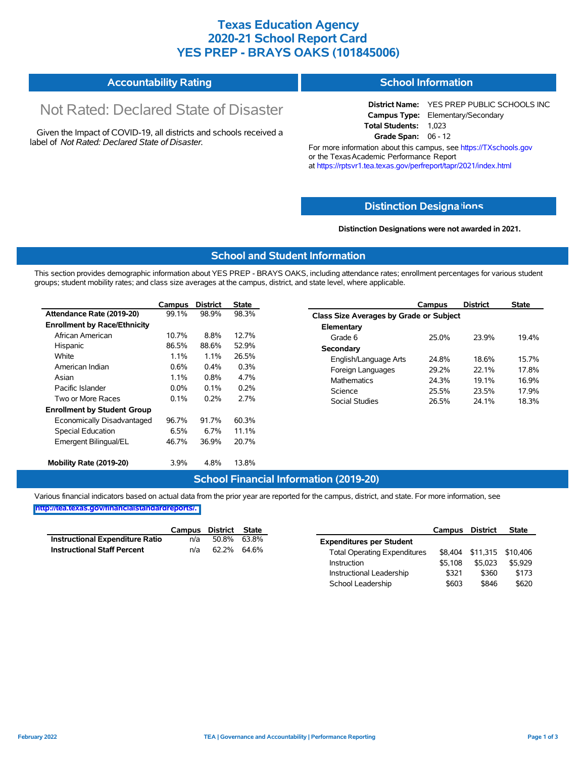### **Texas Education Agency 2020-21 School Report Card YES PREP - BRAYS OAKS (101845006)**

| <b>Accountability Rating</b> | School Information |
|------------------------------|--------------------|
|                              |                    |

# Not Rated: Declared State of Disaster

Given the Impact of COVID-19, all districts and schools received a label of *Not Rated: Declared State of Disaster.*

**District Name:** YES PREP PUBLIC SCHOOLS INC **Campus Type:** Elementary/Secondary **Total Students:** 1,023 **Grade Span:** 06 - 12

For more information about this campus, see https://TXschools.gov or the Texas Academic Performance Report at https://rptsvr1.tea.texas.gov/perfreport/tapr/2021/index.html

#### **Distinction Designa[tions](https://TXschools.gov)**

**Distinction Designations were not awarded in 2021.**

School Leadership  $$603$  \$846 \$620

#### **School and Student Information**

This section provides demographic information about YES PREP - BRAYS OAKS, including attendance rates; enrollment percentages for various student groups; student mobility rates; and class size averages at the campus, district, and state level, where applicable.

|                                     | Campus  | <b>District</b> | <b>State</b> | Campus                         | <b>District</b>                         | <b>State</b> |  |  |  |  |  |
|-------------------------------------|---------|-----------------|--------------|--------------------------------|-----------------------------------------|--------------|--|--|--|--|--|
| Attendance Rate (2019-20)           | 99.1%   | 98.9%           | 98.3%        |                                | Class Size Averages by Grade or Subject |              |  |  |  |  |  |
| <b>Enrollment by Race/Ethnicity</b> |         |                 |              | Elementary                     |                                         |              |  |  |  |  |  |
| African American                    | 10.7%   | 8.8%            | 12.7%        | Grade 6<br>25.0%               | 23.9%                                   | 19.4%        |  |  |  |  |  |
| Hispanic                            | 86.5%   | 88.6%           | 52.9%        | Secondary                      |                                         |              |  |  |  |  |  |
| White                               | 1.1%    | 1.1%            | 26.5%        | English/Language Arts<br>24.8% | 18.6%                                   | 15.7%        |  |  |  |  |  |
| American Indian                     | 0.6%    | 0.4%            | 0.3%         | Foreign Languages<br>29.2%     | 22.1%                                   | 17.8%        |  |  |  |  |  |
| Asian                               | 1.1%    | 0.8%            | 4.7%         | <b>Mathematics</b><br>24.3%    | 19.1%                                   | 16.9%        |  |  |  |  |  |
| Pacific Islander                    | $0.0\%$ | 0.1%            | 0.2%         | Science<br>25.5%               | 23.5%                                   | 17.9%        |  |  |  |  |  |
| Two or More Races                   | 0.1%    | 0.2%            | 2.7%         | Social Studies<br>26.5%        | 24.1%                                   | 18.3%        |  |  |  |  |  |
| <b>Enrollment by Student Group</b>  |         |                 |              |                                |                                         |              |  |  |  |  |  |
| Economically Disadvantaged          | 96.7%   | 91.7%           | 60.3%        |                                |                                         |              |  |  |  |  |  |
| Special Education                   | 6.5%    | 6.7%            | 11.1%        |                                |                                         |              |  |  |  |  |  |
| Emergent Bilingual/EL               | 46.7%   | 36.9%           | 20.7%        |                                |                                         |              |  |  |  |  |  |
| Mobility Rate (2019-20)             | $3.9\%$ | 4.8%            | 13.8%        |                                |                                         |              |  |  |  |  |  |

#### **School Financial Information (2019-20)**

Various financial indicators based on actual data from the prior year are reported for the campus, district, and state. For more information, see

**[http://tea.texas.gov/financialstandardreports/.](http://tea.texas.gov/financialstandardreports/)**

|                                        | Campus | District | State |                                     | Campus  | <b>District</b>           | <b>State</b> |
|----------------------------------------|--------|----------|-------|-------------------------------------|---------|---------------------------|--------------|
| <b>Instructional Expenditure Ratio</b> | n/a    | 50.8%    | 63.8% | <b>Expenditures per Student</b>     |         |                           |              |
| <b>Instructional Staff Percent</b>     | n/a    | 62.2%    | 64.6% | <b>Total Operating Expenditures</b> |         | \$8,404 \$11,315 \$10,406 |              |
|                                        |        |          |       | Instruction                         | \$5.108 | \$5,023                   | \$5.929      |
|                                        |        |          |       | Instructional Leadership            | \$321   | \$360                     | \$173        |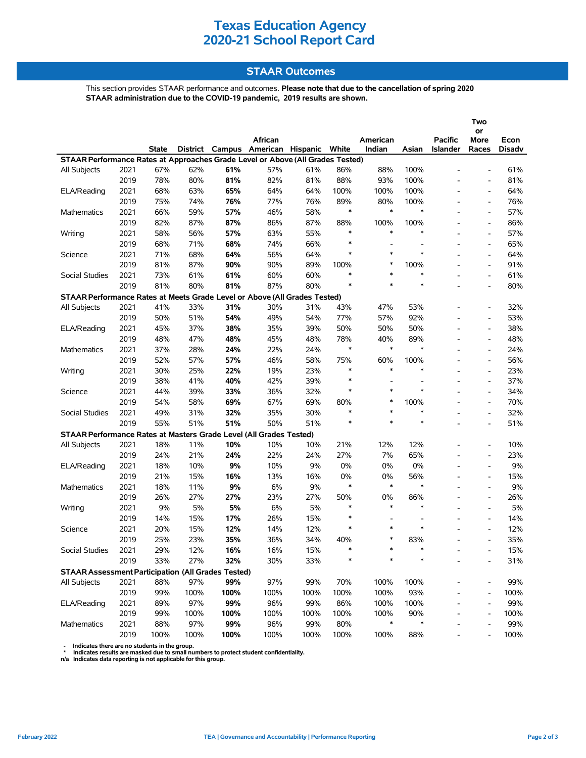# **Texas Education Agency 2020-21 School Report Card**

### **STAAR Outcomes**

This section provides STAAR performance and outcomes. **Please note that due to the cancellation of spring 2020 STAAR administration due to the COVID-19 pandemic, 2019 results are shown.**

|                                                                                |      |              |          |      |                                     |      |               |                    |          |                     | Two                      |                |
|--------------------------------------------------------------------------------|------|--------------|----------|------|-------------------------------------|------|---------------|--------------------|----------|---------------------|--------------------------|----------------|
|                                                                                |      |              |          |      |                                     |      |               |                    |          |                     | or                       |                |
|                                                                                |      | <b>State</b> | District |      | African<br>Campus American Hispanic |      | White         | American<br>Indian | Asian    | Pacific<br>Islander | More<br>Races            | Econ<br>Disadv |
| STAAR Performance Rates at Approaches Grade Level or Above (All Grades Tested) |      |              |          |      |                                     |      |               |                    |          |                     |                          |                |
| All Subjects                                                                   | 2021 | 67%          | 62%      | 61%  | 57%                                 | 61%  | 86%           | 88%                | 100%     |                     |                          | 61%            |
|                                                                                | 2019 | 78%          | 80%      | 81%  | 82%                                 | 81%  | 88%           | 93%                | 100%     |                     | $\overline{\phantom{a}}$ | 81%            |
| ELA/Reading                                                                    | 2021 | 68%          | 63%      | 65%  | 64%                                 | 64%  | 100%          | 100%               | 100%     |                     | $\overline{\phantom{a}}$ | 64%            |
|                                                                                | 2019 | 75%          | 74%      | 76%  | 77%                                 | 76%  | 89%           | 80%                | 100%     |                     | $\overline{\phantom{a}}$ | 76%            |
| <b>Mathematics</b>                                                             | 2021 | 66%          | 59%      | 57%  | 46%                                 | 58%  | $\ast$        | $\ast$             | $\ast$   |                     | $\overline{\phantom{a}}$ | 57%            |
|                                                                                | 2019 | 82%          | 87%      | 87%  | 86%                                 | 87%  | 88%           | 100%               | 100%     |                     | $\overline{a}$           | 86%            |
| Writing                                                                        | 2021 | 58%          | 56%      | 57%  | 63%                                 | 55%  | $\ast$        | $\ast$             | $\ast$   |                     | $\overline{\phantom{a}}$ | 57%            |
|                                                                                | 2019 | 68%          | 71%      | 68%  | 74%                                 | 66%  | $\ast$        |                    |          |                     | $\overline{\phantom{a}}$ | 65%            |
| Science                                                                        | 2021 | 71%          | 68%      | 64%  | 56%                                 | 64%  | $\ast$        | $\ast$             | $\ast$   |                     | $\overline{\phantom{a}}$ | 64%            |
|                                                                                | 2019 | 81%          | 87%      | 90%  | 90%                                 | 89%  | 100%          | $\ast$             | 100%     |                     | $\overline{\phantom{a}}$ | 91%            |
| Social Studies                                                                 | 2021 | 73%          | 61%      | 61%  | 60%                                 | 60%  | $\ast$        | $\ast$             | $\ast$   |                     | $\overline{\phantom{a}}$ | 61%            |
|                                                                                | 2019 | 81%          | 80%      | 81%  | 87%                                 | 80%  | $\ast$        | $\ast$             | $\ast$   |                     | L,                       | 80%            |
|                                                                                |      |              |          |      |                                     |      |               |                    |          |                     |                          |                |
| STAAR Performance Rates at Meets Grade Level or Above (All Grades Tested)      |      |              |          |      |                                     |      |               |                    |          |                     |                          |                |
| All Subjects                                                                   | 2021 | 41%          | 33%      | 31%  | 30%                                 | 31%  | 43%           | 47%                | 53%      |                     | $\overline{\phantom{a}}$ | 32%            |
|                                                                                | 2019 | 50%          | 51%      | 54%  | 49%                                 | 54%  | 77%<br>50%    | 57%                | 92%      |                     |                          | 53%            |
| ELA/Reading                                                                    | 2021 | 45%          | 37%      | 38%  | 35%                                 | 39%  |               | 50%                | 50%      |                     | $\overline{\phantom{a}}$ | 38%            |
|                                                                                | 2019 | 48%          | 47%      | 48%  | 45%                                 | 48%  | 78%<br>$\ast$ | 40%<br>$\ast$      | 89%<br>∗ |                     | $\overline{\phantom{a}}$ | 48%            |
| <b>Mathematics</b>                                                             | 2021 | 37%          | 28%      | 24%  | 22%                                 | 24%  |               |                    |          |                     | $\overline{a}$           | 24%            |
|                                                                                | 2019 | 52%          | 57%      | 57%  | 46%                                 | 58%  | 75%<br>$\ast$ | 60%<br>$\ast$      | 100%     |                     | $\overline{\phantom{a}}$ | 56%            |
| Writing                                                                        | 2021 | 30%          | 25%      | 22%  | 19%                                 | 23%  | $\ast$        |                    | $\ast$   |                     | $\overline{\phantom{a}}$ | 23%            |
|                                                                                | 2019 | 38%          | 41%      | 40%  | 42%                                 | 39%  |               |                    |          |                     | $\overline{\phantom{a}}$ | 37%            |
| Science                                                                        | 2021 | 44%          | 39%      | 33%  | 36%                                 | 32%  | $\ast$        | $\ast$             | $\ast$   |                     | $\overline{\phantom{0}}$ | 34%            |
|                                                                                | 2019 | 54%          | 58%      | 69%  | 67%                                 | 69%  | 80%           | $\ast$             | 100%     |                     | $\overline{\phantom{a}}$ | 70%            |
| Social Studies                                                                 | 2021 | 49%          | 31%      | 32%  | 35%                                 | 30%  | $\ast$        | $\ast$             | $\ast$   |                     | $\overline{\phantom{a}}$ | 32%            |
|                                                                                | 2019 | 55%          | 51%      | 51%  | 50%                                 | 51%  | $\ast$        | $\ast$             | $\ast$   |                     |                          | 51%            |
| STAAR Performance Rates at Masters Grade Level (All Grades Tested)             |      |              |          |      |                                     |      |               |                    |          |                     |                          |                |
| All Subjects                                                                   | 2021 | 18%          | 11%      | 10%  | 10%                                 | 10%  | 21%           | 12%                | 12%      |                     | $\overline{a}$           | 10%            |
|                                                                                | 2019 | 24%          | 21%      | 24%  | 22%                                 | 24%  | 27%           | 7%                 | 65%      |                     | $\overline{\phantom{a}}$ | 23%            |
| ELA/Reading                                                                    | 2021 | 18%          | 10%      | 9%   | 10%                                 | 9%   | 0%            | 0%                 | 0%       |                     | $\overline{\phantom{a}}$ | 9%             |
|                                                                                | 2019 | 21%          | 15%      | 16%  | 13%                                 | 16%  | 0%            | 0%                 | 56%      |                     | $\overline{\phantom{a}}$ | 15%            |
| Mathematics                                                                    | 2021 | 18%          | 11%      | 9%   | 6%                                  | 9%   | $\ast$        | $\ast$             | ∗        |                     | $\overline{a}$           | 9%             |
|                                                                                | 2019 | 26%          | 27%      | 27%  | 23%                                 | 27%  | 50%           | 0%                 | 86%      |                     | $\overline{\phantom{a}}$ | 26%            |
| Writing                                                                        | 2021 | 9%           | 5%       | 5%   | 6%                                  | 5%   | $\ast$        | $\ast$             | $\ast$   |                     | $\overline{\phantom{a}}$ | 5%             |
|                                                                                | 2019 | 14%          | 15%      | 17%  | 26%                                 | 15%  | $\ast$        |                    |          |                     | $\overline{\phantom{a}}$ | 14%            |
| Science                                                                        | 2021 | 20%          | 15%      | 12%  | 14%                                 | 12%  | $\ast$        | $\ast$             | $\ast$   |                     | $\overline{\phantom{a}}$ | 12%            |
|                                                                                | 2019 | 25%          | 23%      | 35%  | 36%                                 | 34%  | 40%           | $\ast$             | 83%      |                     | $\overline{a}$           | 35%            |
| Social Studies                                                                 | 2021 | 29%          | 12%      | 16%  | 16%                                 | 15%  |               |                    |          |                     |                          | 15%            |
|                                                                                | 2019 | 33%          | 27%      | 32%  | 30%                                 | 33%  | ∗             | *                  | ∗        |                     |                          | 31%            |
| <b>STAAR Assessment Participation (All Grades Tested)</b>                      |      |              |          |      |                                     |      |               |                    |          |                     |                          |                |
| All Subjects                                                                   | 2021 | 88%          | 97%      | 99%  | 97%                                 | 99%  | 70%           | 100%               | 100%     |                     |                          | 99%            |
|                                                                                | 2019 | 99%          | 100%     | 100% | 100%                                | 100% | 100%          | 100%               | 93%      |                     |                          | 100%           |
| ELA/Reading                                                                    | 2021 | 89%          | 97%      | 99%  | 96%                                 | 99%  | 86%           | 100%               | 100%     |                     | $\overline{\phantom{a}}$ | 99%            |
|                                                                                | 2019 | 99%          | 100%     | 100% | 100%                                | 100% | 100%          | 100%               | 90%      |                     |                          | 100%           |
| Mathematics                                                                    | 2021 | 88%          | 97%      | 99%  | 96%                                 | 99%  | 80%           | $\ast$             | ∗        |                     |                          | 99%            |
|                                                                                | 2019 | 100%         | 100%     | 100% | 100%                                | 100% | 100%          | 100%               | 88%      |                     |                          | 100%           |

- Indicates there are no students in the group.<br>\* Indicates results are masked due to small numbers to protect student confidentiality.<br>n/a Indicates data reporting is not applicable for this group.